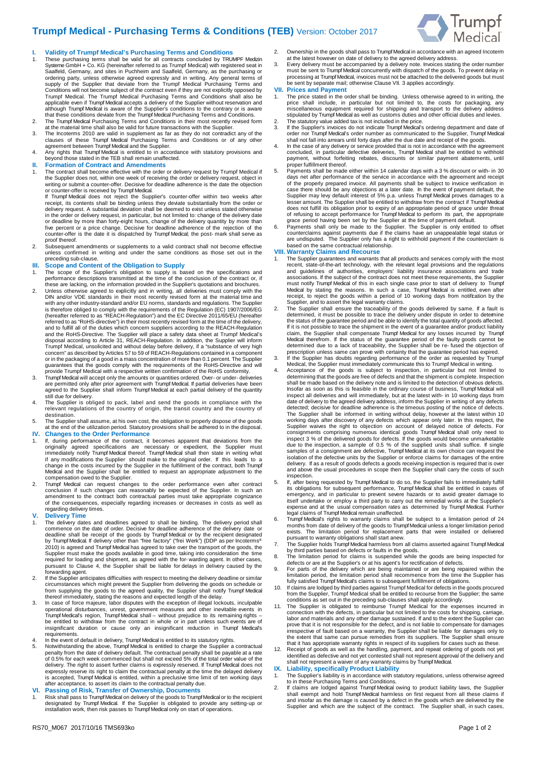## **Trumpf Medical - Purchasing Terms & Conditions (TEB)** Version: October 2017



### **I. Validity of Trumpf Medical's Purchasing Terms and Conditions**

- 1. These purchasing terms shall be valid for all contracts concluded by TRUMPF Medizin Systeme GmbH + Co. KG (hereinafter referred to as Trumpf Medical) with registered seat in Saalfeld, Germany, and sites in Puchheim and Saalfeld, Germany, as the purchasing or<br>ordering party, unless otherwise agreed expressly and in writing. Any general terms of<br>supply of the Supplier that deviate from the Trump Conditions will not become subject of the contract even if they are not explicitly opposed by Trumpf Medical. The Trumpf Medical Purchasing Terms and Conditions shall also be applicable even if Trumpf Medical accepts a delivery of the Supplier without reservation and although Trumpf Medical is aware of the Supplier's conditions to the contrary or is aware
- 
- that these conditions deviate from the Trumpf Medical Purchasing Terms and Conditions.<br>2. The Trumpf Medical Purchasing Terms and Conditions in their most recently revised form<br>3. The Incenterial time shall also be valid f agreement between Trumpf Medical and the Supplier.
- 4. Any rights that Trumpf Medical is entitled to in accordance with statutory provisions and beyond those stated in the TEB shall remain unaffected. **II. Formation of Contract and Amendments**
- 
- 1. The contract shall become effective with the order or delivery request by Trumpf Medical if the Supplier does not, within one week of receiving the order or delivery request, object in writing or submit a counter-offer. Decisive for deadline adherence is the date the objection

or counter-offer is received by Trumpf Medical.<br>If Trumpf Medical does not reject the Supplier's counter-offer within two weeks after<br>receipt, its contents shall be binding unless they deviate substantially from the order or deadline by more than forty-eight hours, change of the delivery quantity by more than five percent or a price change. Decisive for deadline adherence of the rejection of the counter-offer is the date it is dispatched by Trumpf Medical; the pos t- mark shall serve as proof thereof.

2. Subsequent amendments or supplements to a valid contract shall not become effective unless confirmed in writing and under the same conditions as those set out in the preceding sub-clause.

### **III. Scope and Content of the Obligation to Supply**

- scope of the Supplier's obligation to supply is based on the specifications and performance descriptions transmitted at the time of the conclusion of the contract or, if these are lacking, on the information provided in the Supplier's quotations and brochures. 2. Unless otherwise agreed to explicitly and in writing, all deliveries must comply with the
- DIN and/or VDE standards in their most recently revised form at the material time and with any other industry-standard and/or EU norms, standards and regulations. The Supplier is therefore obliged to comply with the requirements of the Regulation (EC) 1907/2006/EG (hereafter referred to as "REACH-Regulation") and the EC Directive 2011/65/EU (hereafter referred to as "RoHS-directive") in their most recently revised form at the time of the delivery, and to fulfill all of the duties which concern suppliers according to the REACH-Regulation and the RoHS-Directive. The Supplier will place a safety data sheet at Trumpf Medical's disposal according to Article 31, REACH-Regulation. In addition, the Supplier will inform Trumpf Medical, unsolicited and without delay before delivery, if a "substance of very high concern" as described by Articles 57 to 59 of REACH-Regulations contained in a component or in the packaging of a good in a mass concentration of more than 0.1 percent. The Supplier<br>guarantees that the goods comply with the requirements of the RoHS-Directive and will<br>provide Trumpf Medical with a respective wr
- 3. Trumpf Medical will accept only the amounts or quantities ordered. Over- or under- deliveries are permitted only after prior agreement with Trumpf Medical. If partial deliveries have been agreed to the Supplier shall inform Trumpf Medical at each partial delivery of the quantity still due for delivery.
- 4. The Supplier is obliged to pack, label and send the goods in compliance with the relevant regulations of the country of origin, the transit country and the country of destination.
- 5. The Supplier shall assume, at his own cost, the obligation to properly dispose of the goods at the end of the utilization period. Statutory provisions shall be adhered to in the disposal. **IV. Changes to the Order Performance**

- 1. If, during performance of the contract, it becomes apparent that deviations from the<br>originally agreed specifications are necessary or expedient, the Supplier must<br>immediately notify Trumpf Medical thereof. Trumpf Medic if any modifications the Supplier should make to the original order. If this leads change in the costs incurred by the Supplier in the fulfillment of the contract, both Trumpf Medical and the Supplier shall be entitled to request an appropriate adjustment to the
- compensation owed to the Supplier. 2. Trumpf Medical can request changes to the order performance even after contract conclusion if such changes can reasonably be expected of the Supplier. In such an amendment to the contract both contractual parties must take appropriate cognizance of the consequences, especially regarding increases or decreases in costs as well as regarding delivery times.

### **V. Delivery Time**

- The delivery dates and deadlines agreed to shall be binding. The delivery period shall commence on the date of order. Decisive for deadline adherence of the delivery date or deadline shall be receipt of the goods by Trumpf Medical or by the recipient designated by Trumpf Medical. If delivery other than "free factory" ("frei Werk") (DDP as per Incoterms®<br>2010) is agreed and Trumpf Medical has agreed to take over the transport of the goods, the<br>Supplier must make the goods availabl forwarding agent.
- 2. If the Supplier anticipates difficulties with respect to meeting the delivery deadline or similar circumstances which might prevent the Supplier from delivering the goods on schedule or from supplying the goods to the agreed quality, the Supplier shall notify Trumpf Medical thereof immediately, stating the reasons and expected length of the delay. 3. In case of force majeure, labor disputes with the exception of illegal lockouts, inculpable
- operational disturbances, unrest, government measures and other inevitable events in<br>Trumpf Medical's region, Trumpf Medical shall without prejudice to its remaining rights –<br>be entitled to withdraw from the contract in requirements.
- 4. In the event of default in delivery, Trumpf Medical is entitled to its statutory rights. 5. Notwithstanding the above, Trumpf Medical is entitled to charge the Supplier a contractual
- penalty from the date of delivery default. The contractual penalty shall be payable at a rate of 0.5% for each week commenced but shall not exceed 5% of the total order value of the delivery. The right to assert further claims is expressly reserved. If Trumpf Medical does not expressly reserve its right to claim the contractual penalty at the time the delayed delivery is accepted, Trumpf Medical is entitled, within a preclusive time limit of ten working days after acceptance, to assert its claim to the contractual penalty due.

### **VI. Passing of Risk, Transfer of Ownership, Documents**

1. Risk shall pass to Trumpf Medical on delivery of the goods to Trumpf Medical or to the recipient designated by Trumpf Medical. If the Supplier is obligated to provide any setting-up or installation work, then risk passes to Trumpf Medical only on start of operations.

3. Every delivery must be accompanied by a delivery note. Invoices stating the order number<br>must be sent to Trumpf Medical concurrently with dispatch of the goods. To prevent delay in<br>processing at Trumpf Medical, invoices be sent by separate mail; otherwise Clause VII. 3 applies accordingly.

## **VII. Prices and Payment**

- 1. The price stated in the order shall be binding. Unless otherwise agreed to in writing, the<br>price shall include, in particular but not limited to, the costs for packaging, any<br>miscellaneous equipment required for shippin stipulated by Trumpf Medical as well as customs duties and other official duties and levies. 2. The statutory value added tax is not included in the price.
- 3. If the Supplier's invoices do not indicate Trumpf Medical's ordering department and date of order nor Trumpf Medical's order number as communicated to the Supplier, Trumpf Medical shall not fall into arrears until forty days after the due date and receipt of the goods.
- 4. In the case of any delivery or service provided that is not in accordance with the agreement concluded, in particular defective deliveries, Trumpf Medical shall be entitled to withhold payment, without forfeiting rebates, discounts or similar payment abatements, until proper fulfillment thereof.
- 5. Payments shall be made either within 14 calendar days with a 3 % discount or with- in 30 days net after performance of the service in accordance with the agreement and receipt of the properly prepared invoice. All payments shall be subject to invoice verification in<br>case there should be any objections at a later date. In the event of payment default, the<br>Supplier may levy default interest of 5% does not fulfill its obligation prior to expiry of an appropriate period of grace under threat of refusing to accept performance for Trumpf Medical to perform its part, the appropriate
- grace period having been set by the Supplier at the time of payment default.<br>6. Payments shall only be made to the Supplier. The Supplier is only entitled to offset<br>counterclaims against payments due if the claims have an

### **VIII. Warranty Claims and Recourse**

- 1. The Supplier guarantees and warrants that all products and services comply with the most<br>recent, state-of-the-art technology, with the relevant legal provisions and the regulations<br>and guidelines of authorities, employe associations. If the subject of the contract does not meet these requirements, the Supplier must notify Trumpf Medical of this in each single case prior to start of delivery to Trumpf<br>Medical by stating the reasons. In such a case, Trumpf Medical is entitled, even after<br>receipt, to reject the goods within a perio
- determined, it must be possible to trace the delivery under dispute in order to determine the status of the guarantee period and be able to identify the total quantity of goods affected. If it is not possible to trace the shipment in the event of a guarantee and/or product liability<br>claim, the Supplier shall compensate Tumpf Medical tor any losses incurred by Tumpf<br>Medical therefrom. If the status of the g
- 
- determining that the goods are free of defects and that the shipment is complete. Inspection<br>shall be made based on the delivery note and is limited to the detection of obvious defects.<br>Insofar as soon as this is feasible inspect all deliveries and will immediately, but at the latest with- in 10 working days from date of delivery to the agreed delivery address, inform the Supplier in writing of any defects detected; decisive for deadline adherence is the timeous posting of the notice of defects.<br>The Supplier shall be informed in writing without delay, however at the latest within 10<br>working days after discovery of any defect consignments comprising numerous identical goods Trumpf Medical shall only need to<br>inspect 3 % of the delivered goods for defects. If the goods would become unmarketable<br>due to the inspection, a sample of 0.5 % of the supp delivery. If as a result of goods defects a goods receiving inspection is required that is over and above the usual procedures in scope then the Supplier shall carry the costs of such inspection.
- If, after being requested by Trumpf Medical to do so, the Supplier fails to immediately fulfill its obligations for subsequent performance, Trumpf Medical shall be entitled in cases of emergency, and in particular to prevent severe hazards or to avoid greater damage to itself undertake or employ a third party to carry out the remedial works at the Supplier's expense and at the usual compensation rates as determined by Trumpf Medical. Further legal claims of Trumpf Medical remain unaffected.
- 6. Trumpf Medical's rights to warranty claims shall be subject to a limitation period of 24 months from date of delivery of the goods to Trumpf Medical unless a longer limitation period<br>exists. The limitation period for replacement parts that were installed or delivered<br>pursuant to warranty obligations shall star
- 
- 8. The limitation period for claims is suspended while the goods are being inspected for defects or are at the Supplier's or at his agent's for rectification of defects.
- 9. For parts of the delivery which are being maintained or are being repaired within the limitation period, the limitation period shall recommence from the time the Supplier has fully satisfied Trumpf Medical's claims to subsequent fulfillment of obligations.
- 10. If claims are lodged by third parties against Trumpf Medical for defects in the goods procured from the Supplier, Trumpf Medical shall be entitled to recourse from the Supplier; the same
- conditions as set out in the preceding sub-clauses shall apply accordingly. 11. The Supplier is obligated to reimburse Trumpf Medical for the expenses incurred in connection with the defects, in particular but not limited to the costs for shipping, carriage, labor and materials and any other damage sustained. If and to the extent the Supplier can prove that it is not responsible for
- 12. Receipt of goods as well as the handling, payment, and repeat ordering of goods not yet<br>identified as defective and not yet contested shall not represent approval of the delivery and<br>shall not represent a waiver of any

- 1. The Supplier's liability is in accordance with statutory regulations, unless otherwise agreed<br>to in these Purchasing Terms and Conditions.<br>2. If claims are lodged against Trumpf Medical owing to product liability laws,
- and insofar as the damage is caused by a defect in the goods which are delivered by the Supplier and which are the subject of the contract. The Supplier shall, in such cases,